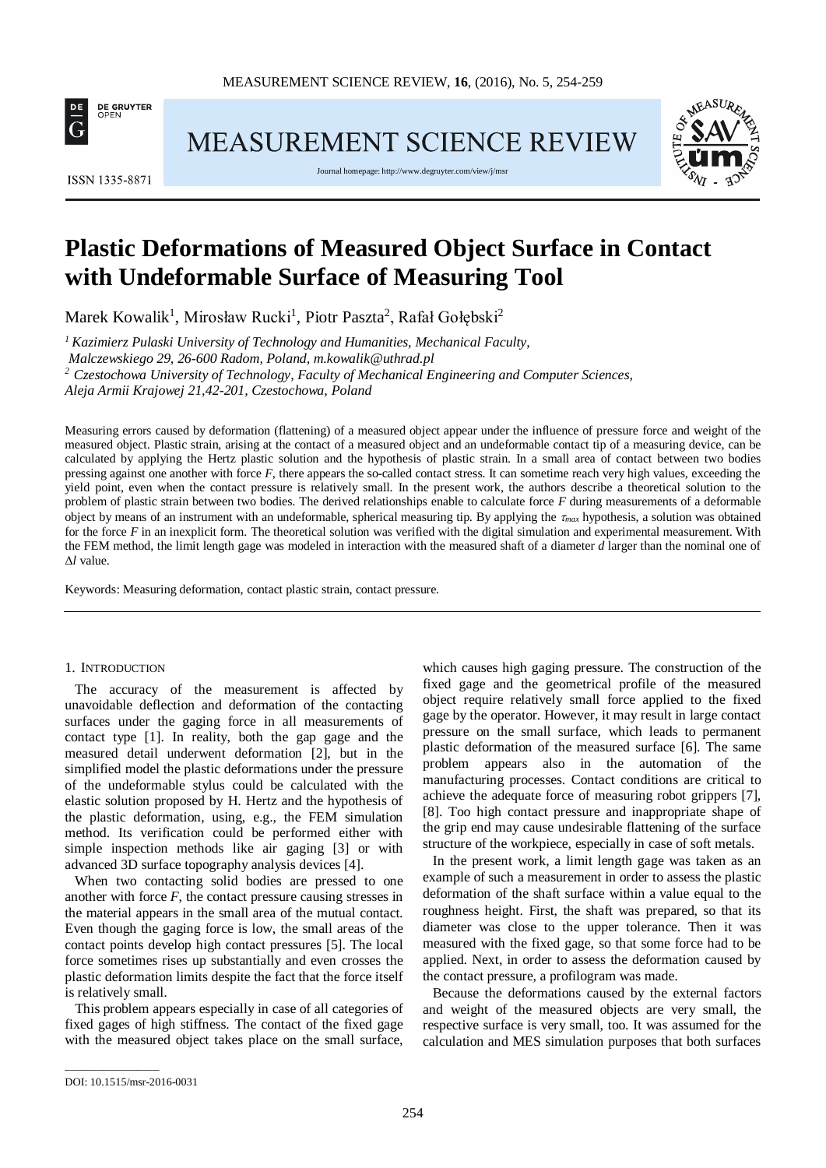

MEASUREMENT SCIENCE REVIEW



Journal homepage[: http://www.degruyter.com/view/j/msr](http://www.degruyter.com/view/j/msr)



# **Plastic Deformations of Measured Object Surface in Contact with Undeformable Surface of Measuring Tool**

Marek Kowalik<sup>1</sup>, Mirosław Rucki<sup>1</sup>, Piotr Paszta<sup>2</sup>, Rafał Gołębski<sup>2</sup>

*1 Kazimierz Pulaski University of Technology and Humanities, Mechanical Faculty,*

*Malczewskiego 29, 26-600 Radom, Poland, m.kowalik@uthrad.pl*

*<sup>2</sup> Czestochowa University of Technology, Faculty of Mechanical Engineering and Computer Sciences,*

*Aleja Armii Krajowej 21,42-201, Czestochowa, Poland*

Measuring errors caused by deformation (flattening) of a measured object appear under the influence of pressure force and weight of the measured object. Plastic strain, arising at the contact of a measured object and an undeformable contact tip of a measuring device, can be calculated by applying the Hertz plastic solution and the hypothesis of plastic strain. In a small area of contact between two bodies pressing against one another with force *F*, there appears the so-called contact stress. It can sometime reach very high values, exceeding the yield point, even when the contact pressure is relatively small. In the present work, the authors describe a theoretical solution to the problem of plastic strain between two bodies. The derived relationships enable to calculate force *F* during measurements of a deformable object by means of an instrument with an undeformable, spherical measuring tip. By applying the τ*max* hypothesis, a solution was obtained for the force *F* in an inexplicit form. The theoretical solution was verified with the digital simulation and experimental measurement. With the FEM method, the limit length gage was modeled in interaction with the measured shaft of a diameter *d* larger than the nominal one of Δ*l* value.

Keywords: Measuring deformation, contact plastic strain, contact pressure.

#### 1. INTRODUCTION

The accuracy of the measurement is affected by unavoidable deflection and deformation of the contacting surfaces under the gaging force in all measurements of contact type [1]. In reality, both the gap gage and the measured detail underwent deformation [2], but in the simplified model the plastic deformations under the pressure of the undeformable stylus could be calculated with the elastic solution proposed by H. Hertz and the hypothesis of the plastic deformation, using, e.g., the FEM simulation method. Its verification could be performed either with simple inspection methods like air gaging [3] or with advanced 3D surface topography analysis devices [4].

When two contacting solid bodies are pressed to one another with force *F*, the contact pressure causing stresses in the material appears in the small area of the mutual contact. Even though the gaging force is low, the small areas of the contact points develop high contact pressures [5]. The local force sometimes rises up substantially and even crosses the plastic deformation limits despite the fact that the force itself is relatively small.

This problem appears especially in case of all categories of fixed gages of high stiffness. The contact of the fixed gage with the measured object takes place on the small surface, which causes high gaging pressure. The construction of the fixed gage and the geometrical profile of the measured object require relatively small force applied to the fixed gage by the operator. However, it may result in large contact pressure on the small surface, which leads to permanent plastic deformation of the measured surface [6]. The same problem appears also in the automation of the manufacturing processes. Contact conditions are critical to achieve the adequate force of measuring robot grippers [7], [8]. Too high contact pressure and inappropriate shape of the grip end may cause undesirable flattening of the surface structure of the workpiece, especially in case of soft metals.

In the present work, a limit length gage was taken as an example of such a measurement in order to assess the plastic deformation of the shaft surface within a value equal to the roughness height. First, the shaft was prepared, so that its diameter was close to the upper tolerance. Then it was measured with the fixed gage, so that some force had to be applied. Next, in order to assess the deformation caused by the contact pressure, a profilogram was made.

Because the deformations caused by the external factors and weight of the measured objects are very small, the respective surface is very small, too. It was assumed for the calculation and MES simulation purposes that both surfaces

\_\_\_\_\_\_\_\_\_\_\_\_\_\_\_\_\_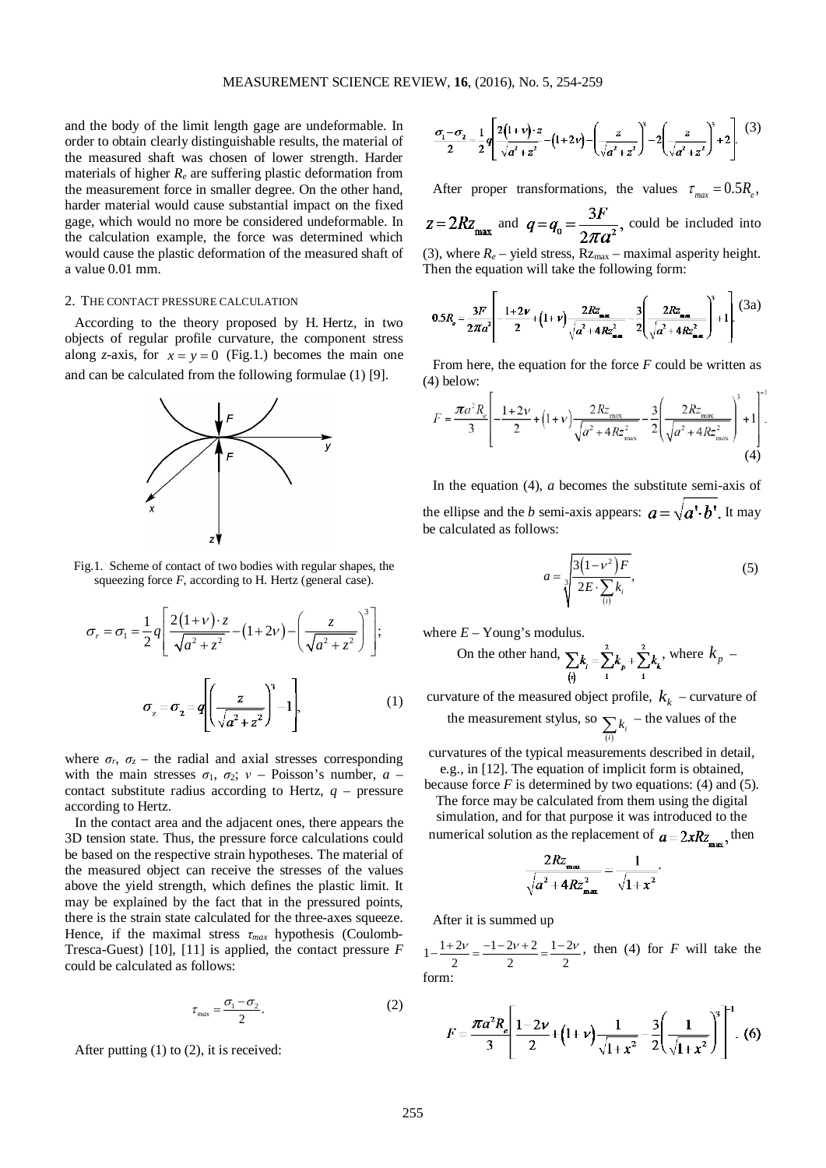and the body of the limit length gage are undeformable. In order to obtain clearly distinguishable results, the material of the measured shaft was chosen of lower strength. Harder materials of higher *Re* are suffering plastic deformation from the measurement force in smaller degree. On the other hand, harder material would cause substantial impact on the fixed gage, which would no more be considered undeformable. In the calculation example, the force was determined which would cause the plastic deformation of the measured shaft of a value 0.01 mm.

# 2. THE CONTACT PRESSURE CALCULATION

According to the theory proposed by H. Hertz, in two objects of regular profile curvature, the component stress along *z*-axis, for  $x = y = 0$  (Fig.1.) becomes the main one and can be calculated from the following formulae (1) [9].



Fig.1. Scheme of contact of two bodies with regular shapes, the squeezing force *F*, according to H. Hertz (general case).

$$
\sigma_r = \sigma_1 = \frac{1}{2}q \left[ \frac{2(1+\nu) \cdot z}{\sqrt{a^2 + z^2}} - (1+2\nu) - \left( \frac{z}{\sqrt{a^2 + z^2}} \right)^3 \right];
$$

$$
\sigma_z = \sigma_2 = q \left[ \left( \frac{z}{\sqrt{a^2 + z^2}} \right)^3 - 1 \right].
$$
 (1)

where  $\sigma_r$ ,  $\sigma_z$  – the radial and axial stresses corresponding with the main stresses  $\sigma_1$ ,  $\sigma_2$ ;  $v$  – Poisson's number,  $a$  – contact substitute radius according to Hertz, *q* – pressure according to Hertz.

In the contact area and the adjacent ones, there appears the 3D tension state. Thus, the pressure force calculations could be based on the respective strain hypotheses. The material of the measured object can receive the stresses of the values above the yield strength, which defines the plastic limit. It may be explained by the fact that in the pressured points, there is the strain state calculated for the three-axes squeeze. Hence, if the maximal stress *τmax* hypothesis (Coulomb-Tresca-Guest) [10], [11] is applied, the contact pressure *F* could be calculated as follows:

$$
\tau_{\text{max}} = \frac{\sigma_1 - \sigma_2}{2}.
$$
 (2)

After putting (1) to (2), it is received:

$$
\frac{\sigma_1 - \sigma_2}{2} = \frac{1}{2} q \left[ \frac{2(1+\nu) \cdot z}{\sqrt{a^2 + z^2}} - (1+2\nu) - \left( \frac{z}{\sqrt{a^2 + z^2}} \right)^3 - 2 \left( \frac{z}{\sqrt{a^2 + z^2}} \right)^3 + 2 \right] \tag{3}
$$

After proper transformations, the values  $\tau_{max} = 0.5 R_s$ ,

 $z = 2Rz_{\text{max}}$  and  $q = q_0 = \frac{3F}{2\pi a^2}$ , could be included into (3), where  $R_e$  – yield stress,  $Rz_{\text{max}}$  – maximal asperity height. Then the equation will take the following form:

$$
0.5R_s = \frac{3F}{2\pi a^2} \left[ -\frac{1+2\nu}{2} + (1+\nu)\frac{2R_{\max}}{\sqrt{a^2 + 4R_{\max}^2}} - \frac{3}{2} \left( \frac{2R_{\max}}{\sqrt{a^2 + 4R_{\max}^2}} \right)^3 + 1 \right] (3a)
$$

From here, the equation for the force *F* could be written as (4) below:

$$
F = \frac{\pi a^2 R_e}{3} \left[ -\frac{1+2\nu}{2} + (1+\nu) \frac{2Rz_{\text{max}}}{\sqrt{a^2 + 4Rz_{\text{max}}^2}} - \frac{3}{2} \left( \frac{2Rz_{\text{max}}}{\sqrt{a^2 + 4Rz_{\text{max}}^2}} \right)^3 + 1 \right].
$$
\n(4)

In the equation (4), *a* becomes the substitute semi-axis of the ellipse and the *b* semi-axis appears:  $a = \sqrt{a' \cdot b'}$ . It may be calculated as follows:

$$
a = \sqrt[3]{\frac{3(1 - v^2)F}{2E \cdot \sum_{(i)} k_i}},
$$
 (5)

where  $E -$ Young's modulus.

On the other hand, 
$$
\sum_{\{i\}} k_i = \sum_{i=1}^{n} k_i + \sum_{i=1}^{n} k_i
$$
, where  $k_p$ 

curvature of the measured object profile,  $k_k$  – curvature of the measurement stylus, so  $\sum_{(i)} k_i$  – the values of the

curvatures of the typical measurements described in detail, e.g., in [12]. The equation of implicit form is obtained,

because force  $F$  is determined by two equations: (4) and (5). The force may be calculated from them using the digital simulation, and for that purpose it was introduced to the numerical solution as the replacement of  $a = 2xRz_{\text{max}}$ , then

$$
\frac{2Rz_{\max}}{\sqrt{a^2 + 4Rz_{\max}^2}} = \frac{1}{\sqrt{1+x^2}}.
$$

After it is summed up

 $1 - \frac{1+2\nu}{2} = \frac{-1-2\nu+2}{2} = \frac{1-2\nu}{2}$ , then (4) for *F* will take the form:

$$
F = \frac{\pi a^2 R_e}{3} \left[ \frac{1 - 2\nu}{2} + (1 + \nu) \frac{1}{\sqrt{1 + x^2}} - \frac{3}{2} \left( \frac{1}{\sqrt{1 + x^2}} \right)^3 \right]^{-1} .
$$
 (6)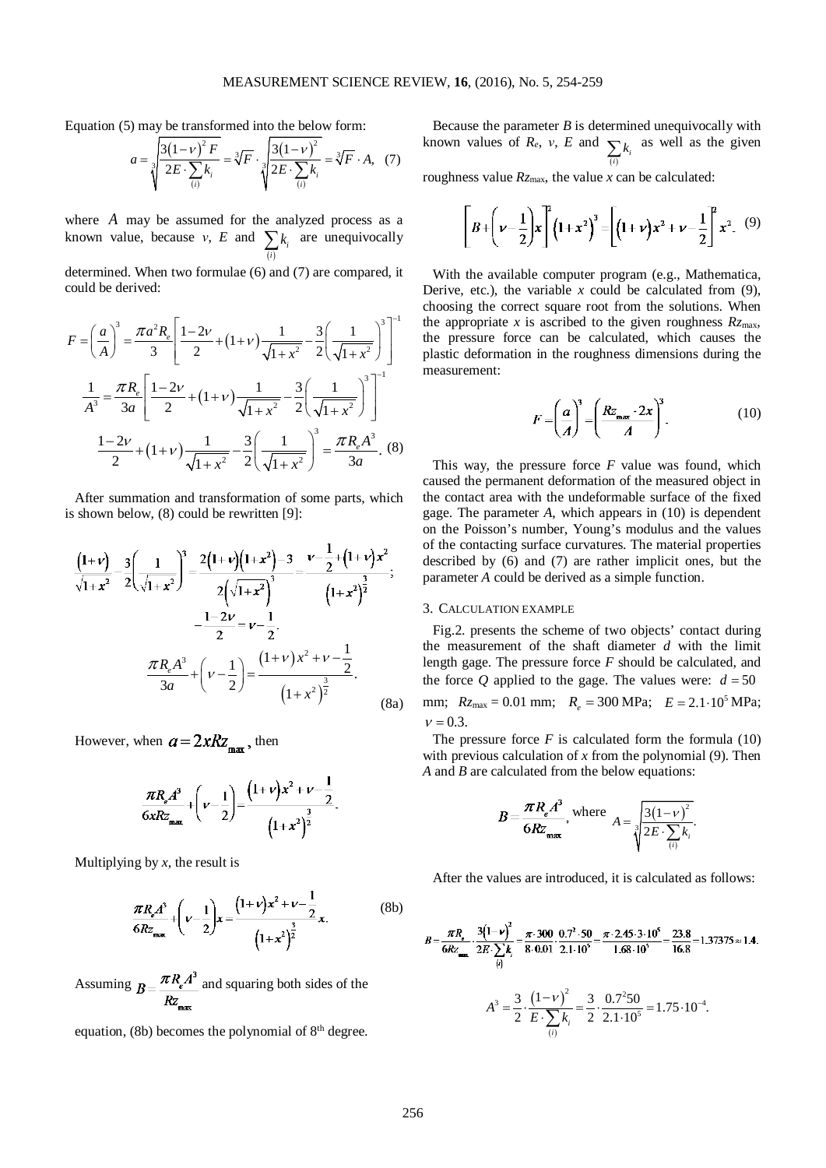Equation (5) may be transformed into the below form:

$$
a = \sqrt[3]{\frac{3(1-\nu)^2 F}{2E \cdot \sum_{(i)} k_i}} = \sqrt[3]{F} \cdot \sqrt[3]{\frac{3(1-\nu)^2}{2E \cdot \sum_{(i)} k_i}} = \sqrt[3]{F} \cdot A, \quad (7)
$$

where *A* may be assumed for the analyzed process as a known value, because *ν*, *E* and  $\sum_{(i)} k_i$  are unequivocally *i*

determined. When two formulae (6) and (7) are compared, it could be derived:

$$
F = \left(\frac{a}{A}\right)^3 = \frac{\pi a^2 R_e}{3} \left[ \frac{1 - 2\nu}{2} + (1 + \nu) \frac{1}{\sqrt{1 + x^2}} - \frac{3}{2} \left( \frac{1}{\sqrt{1 + x^2}} \right)^3 \right]^{-1}
$$

$$
\frac{1}{A^3} = \frac{\pi R_e}{3a} \left[ \frac{1 - 2\nu}{2} + (1 + \nu) \frac{1}{\sqrt{1 + x^2}} - \frac{3}{2} \left( \frac{1}{\sqrt{1 + x^2}} \right)^3 \right]^{-1}
$$

$$
\frac{1 - 2\nu}{2} + (1 + \nu) \frac{1}{\sqrt{1 + x^2}} - \frac{3}{2} \left( \frac{1}{\sqrt{1 + x^2}} \right)^3 = \frac{\pi R_e A^3}{3a}. (8)
$$

After summation and transformation of some parts, which is shown below, (8) could be rewritten [9]:

$$
\frac{\left(1+v\right)}{\sqrt{1+x^2}} - \frac{3}{2} \left(\frac{1}{\sqrt{1+x^2}}\right)^3 = \frac{2\left(1+v\right)\left(1+x^2\right) - 3}{2\left(\sqrt{1+x^2}\right)^3} = \frac{v-\frac{1}{2}+\left(1+v\right)x^2}{\left(1+x^2\right)^3};
$$
\n
$$
-\frac{1-2v}{2} = v-\frac{1}{2}.
$$
\n
$$
\frac{\pi R_e A^3}{3a} + \left(v-\frac{1}{2}\right) = \frac{\left(1+v\right)x^2 + v-\frac{1}{2}}{\left(1+x^2\right)^{\frac{3}{2}}}.
$$
\n(8a)

However, when  $a = 2xRz_{\text{max}}$ , then

$$
\frac{\pi R_{\epsilon} A^3}{6xRz_{\max}} + \left(\nu - \frac{1}{2}\right) = \frac{\left(1+\nu\right)x^2 + \nu - \frac{1}{2}}{\left(1+x^2\right)^{\frac{3}{2}}}.
$$

Multiplying by  $x$ , the result is

$$
\frac{\pi R_e A^3}{6R z_{\max}} + \left(\nu - \frac{1}{2}\right) x = \frac{\left(1 + \nu\right) x^2 + \nu - \frac{1}{2}}{\left(1 + x^2\right)^{\frac{3}{2}}} x.
$$
 (8b)

Assuming  $B = \frac{\pi R_e A^3}{R z_{\text{max}}}$  and squaring both sides of the

equation, (8b) becomes the polynomial of  $8<sup>th</sup>$  degree.

Because the parameter  $B$  is determined unequivocally with known values of *Re*, *ν*, *E* and  $\sum_{(i)} k_i$  as well as the given

roughness value *Rz*max, the value *x* can be calculated:

$$
\left[B+\left(\nu-\frac{1}{2}\right)x\right]^2\left(1+x^2\right)^3=\left[\left(1+\nu\right)x^2+\nu-\frac{1}{2}\right]^2x^2.\quad(9)
$$

With the available computer program (e.g., Mathematica, Derive, etc.), the variable  $x$  could be calculated from  $(9)$ , choosing the correct square root from the solutions. When the appropriate *x* is ascribed to the given roughness  $Rz_{\text{max}}$ , the pressure force can be calculated, which causes the plastic deformation in the roughness dimensions during the measurement:

$$
F = \left(\frac{a}{A}\right)^3 = \left(\frac{Rz_{\text{max}} \cdot 2x}{A}\right)^3. \tag{10}
$$

This way, the pressure force *F* value was found, which caused the permanent deformation of the measured object in the contact area with the undeformable surface of the fixed gage. The parameter *A*, which appears in (10) is dependent on the Poisson's number, Young's modulus and the values of the contacting surface curvatures. The material properties described by (6) and (7) are rather implicit ones, but the parameter *A* could be derived as a simple function.

#### 3. CALCULATION EXAMPLE

Fig.2. presents the scheme of two objects' contact during the measurement of the shaft diameter *d* with the limit length gage. The pressure force *F* should be calculated, and the force *Q* applied to the gage. The values were:  $d = 50$ mm;  $R_{Z_{\text{max}}} = 0.01 \text{ mm}$ ;  $R_e = 300 \text{ MPa}$ ;  $E = 2.1 \cdot 10^5 \text{ MPa}$ ;  $v = 0.3$ .

The pressure force  $F$  is calculated form the formula  $(10)$ with previous calculation of *x* from the polynomial (9). Then *A* and *B* are calculated from the below equations:

$$
B = \frac{\pi R_e A^3}{6Rz_{\text{max}}}, \text{ where } A = \sqrt[3]{\frac{3(1-\nu)^2}{2E \cdot \sum_{(i)} k_i}}.
$$

After the values are introduced, it is calculated as follows:

$$
B = \frac{\pi R_s}{6Rz_{\text{max}}} \cdot \frac{3(1-\nu)^2}{2E \cdot \sum k_i} = \frac{\pi \cdot 300}{8 \cdot 0.01} \cdot \frac{0.7^2 \cdot 50}{2.1 \cdot 10^5} = \frac{\pi \cdot 2.45 \cdot 3 \cdot 10^5}{1.68 \cdot 10^5} = \frac{23.8}{16.8} = 1.37375 \approx 1.4.
$$
  

$$
A^3 = \frac{3}{2} \cdot \frac{(1-\nu)^2}{E \cdot \sum_{(i)} k_i} = \frac{3}{2} \cdot \frac{0.7^2 50}{2.1 \cdot 10^5} = 1.75 \cdot 10^{-4}.
$$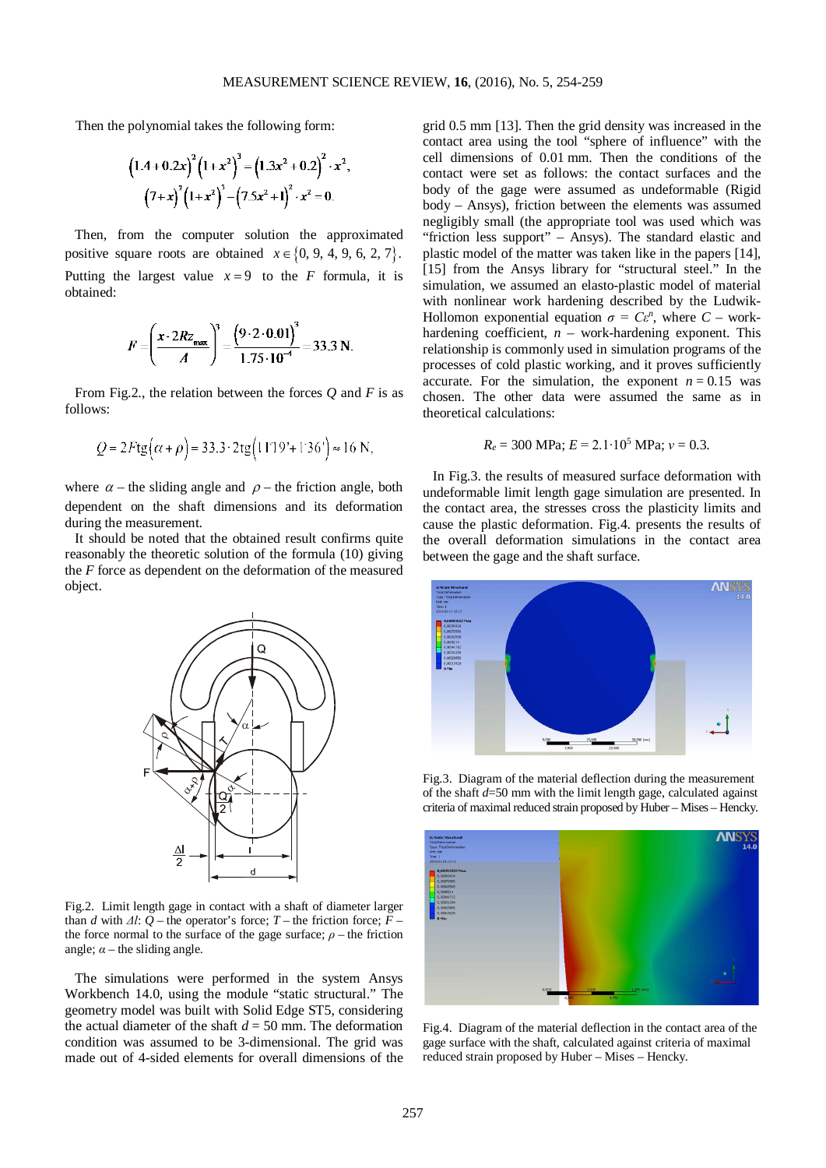Then the polynomial takes the following form:

$$
{(1.4+0.2x)}^{2} (1+x^2)^3 = (1.3x^2+0.2)^2 \cdot x^2
$$
  

$$
(7+x)^2 (1+x^2)^3 - (7.5x^2+1)^2 \cdot x^2 = 0.
$$

Then, from the computer solution the approximated positive square roots are obtained  $x \in \{0, 9, 4, 9, 6, 2, 7\}.$ Putting the largest value  $x = 9$  to the *F* formula, it is obtained:

$$
F = \left(\frac{x \cdot 2Rz_{\text{max}}}{A}\right)^3 = \frac{\left(9 \cdot 2 \cdot 0.01\right)^3}{1.75 \cdot 10^{-4}} = 33.3 \text{ N}.
$$

From Fig.2., the relation between the forces *Q* and *F* is as follows:

$$
Q = 2Ftg(\alpha + \rho) = 33.3 \cdot 2tg(11^{\circ}19' + 1^{\circ}36') \approx 16 \text{ N},
$$

where  $\alpha$  – the sliding angle and  $\rho$  – the friction angle, both dependent on the shaft dimensions and its deformation during the measurement.

It should be noted that the obtained result confirms quite reasonably the theoretic solution of the formula (10) giving the *F* force as dependent on the deformation of the measured object.



Fig.2. Limit length gage in contact with a shaft of diameter larger than *d* with  $\Delta l$ :  $Q$  – the operator's force;  $T$  – the friction force;  $\overline{F}$  – the force normal to the surface of the gage surface;  $\rho$  – the friction angle;  $\alpha$  – the sliding angle.

The simulations were performed in the system Ansys Workbench 14.0, using the module "static structural." The geometry model was built with Solid Edge ST5, considering the actual diameter of the shaft  $d = 50$  mm. The deformation condition was assumed to be 3-dimensional. The grid was made out of 4-sided elements for overall dimensions of the

grid 0.5 mm [13]. Then the grid density was increased in the contact area using the tool "sphere of influence" with the cell dimensions of 0.01 mm. Then the conditions of the contact were set as follows: the contact surfaces and the body of the gage were assumed as undeformable (Rigid body – Ansys), friction between the elements was assumed negligibly small (the appropriate tool was used which was "friction less support" – Ansys). The standard elastic and plastic model of the matter was taken like in the papers [14], [15] from the Ansys library for "structural steel." In the simulation, we assumed an elasto-plastic model of material with nonlinear work hardening described by the Ludwik-Hollomon exponential equation  $\sigma = C\varepsilon^n$ , where  $C$  – workhardening coefficient, *n* – work-hardening exponent. This relationship is commonly used in simulation programs of the processes of cold plastic working, and it proves sufficiently accurate. For the simulation, the exponent  $n = 0.15$  was chosen. The other data were assumed the same as in theoretical calculations:

$$
R_e = 300
$$
 MPa;  $E = 2.1 \cdot 10^5$  MPa;  $v = 0.3$ .

In Fig.3. the results of measured surface deformation with undeformable limit length gage simulation are presented. In the contact area, the stresses cross the plasticity limits and cause the plastic deformation. Fig.4. presents the results of the overall deformation simulations in the contact area between the gage and the shaft surface.



Fig.3. Diagram of the material deflection during the measurement of the shaft *d*=50 mm with the limit length gage, calculated against criteria of maximal reduced strain proposed by Huber – Mises – Hencky.



Fig.4. Diagram of the material deflection in the contact area of the gage surface with the shaft, calculated against criteria of maximal reduced strain proposed by Huber – Mises – Hencky.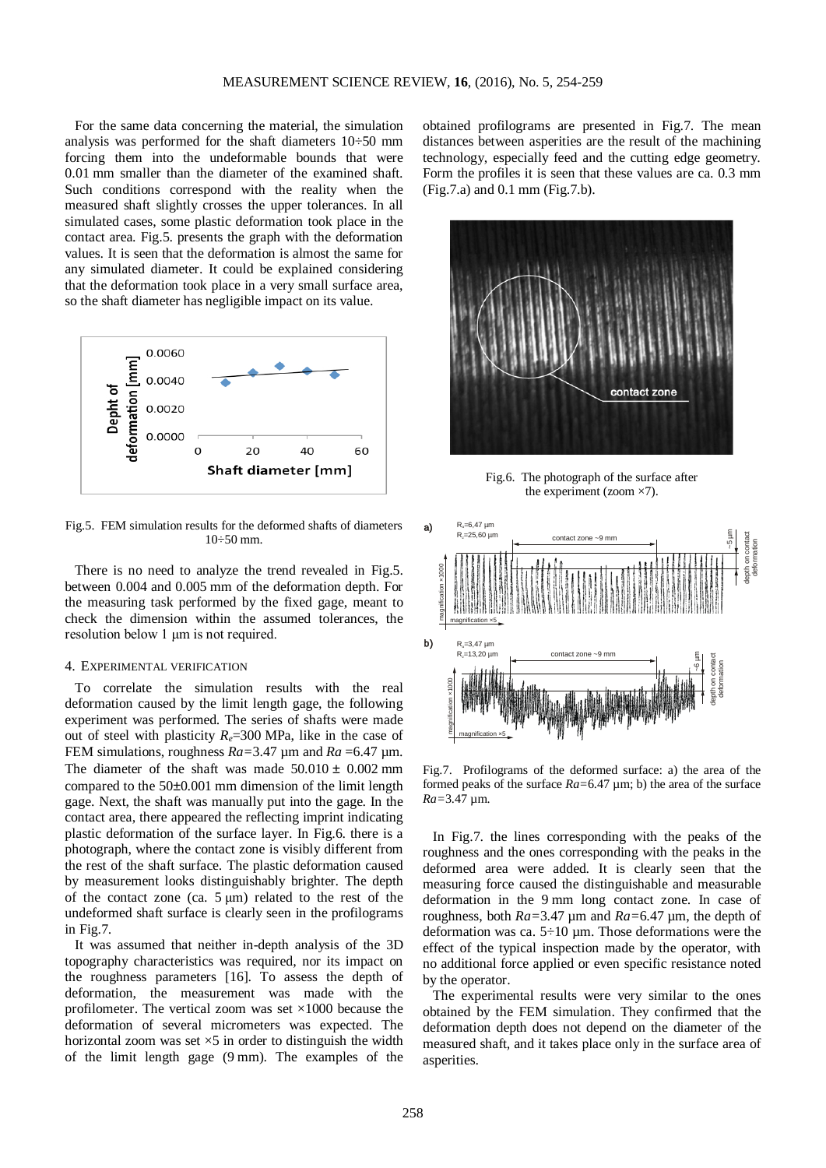For the same data concerning the material, the simulation analysis was performed for the shaft diameters 10÷50 mm forcing them into the undeformable bounds that were 0.01 mm smaller than the diameter of the examined shaft. Such conditions correspond with the reality when the measured shaft slightly crosses the upper tolerances. In all simulated cases, some plastic deformation took place in the contact area. Fig.5. presents the graph with the deformation values. It is seen that the deformation is almost the same for any simulated diameter. It could be explained considering that the deformation took place in a very small surface area, so the shaft diameter has negligible impact on its value.



Fig.5. FEM simulation results for the deformed shafts of diameters 10÷50 mm.

There is no need to analyze the trend revealed in Fig.5. between 0.004 and 0.005 mm of the deformation depth. For the measuring task performed by the fixed gage, meant to check the dimension within the assumed tolerances, the resolution below 1 μm is not required.

## 4. EXPERIMENTAL VERIFICATION

To correlate the simulation results with the real deformation caused by the limit length gage, the following experiment was performed. The series of shafts were made out of steel with plasticity *Re*=300 MPa, like in the case of FEM simulations, roughness *Ra=*3.47 µm and *Ra* =6.47 µm. The diameter of the shaft was made  $50.010 \pm 0.002$  mm compared to the 50±0.001 mm dimension of the limit length gage. Next, the shaft was manually put into the gage. In the contact area, there appeared the reflecting imprint indicating plastic deformation of the surface layer. In Fig.6. there is a photograph, where the contact zone is visibly different from the rest of the shaft surface. The plastic deformation caused by measurement looks distinguishably brighter. The depth of the contact zone (ca.  $5 \mu m$ ) related to the rest of the undeformed shaft surface is clearly seen in the profilograms in Fig.7.

It was assumed that neither in-depth analysis of the 3D topography characteristics was required, nor its impact on the roughness parameters [16]. To assess the depth of deformation, the measurement was made with the profilometer. The vertical zoom was set  $\times$ 1000 because the deformation of several micrometers was expected. The horizontal zoom was set  $\times$ 5 in order to distinguish the width of the limit length gage (9 mm). The examples of the obtained profilograms are presented in Fig.7. The mean distances between asperities are the result of the machining technology, especially feed and the cutting edge geometry. Form the profiles it is seen that these values are ca. 0.3 mm (Fig.7.a) and 0.1 mm (Fig.7.b).



Fig.6. The photograph of the surface after the experiment (zoom ×7).



Fig.7. Profilograms of the deformed surface: a) the area of the formed peaks of the surface *Ra=*6.47 µm; b) the area of the surface *Ra=*3.47 µm.

In Fig.7. the lines corresponding with the peaks of the roughness and the ones corresponding with the peaks in the deformed area were added. It is clearly seen that the measuring force caused the distinguishable and measurable deformation in the 9 mm long contact zone. In case of roughness, both *Ra=*3.47 µm and *Ra=*6.47 µm, the depth of deformation was ca. 5÷10 µm. Those deformations were the effect of the typical inspection made by the operator, with no additional force applied or even specific resistance noted by the operator.

The experimental results were very similar to the ones obtained by the FEM simulation. They confirmed that the deformation depth does not depend on the diameter of the measured shaft, and it takes place only in the surface area of asperities.